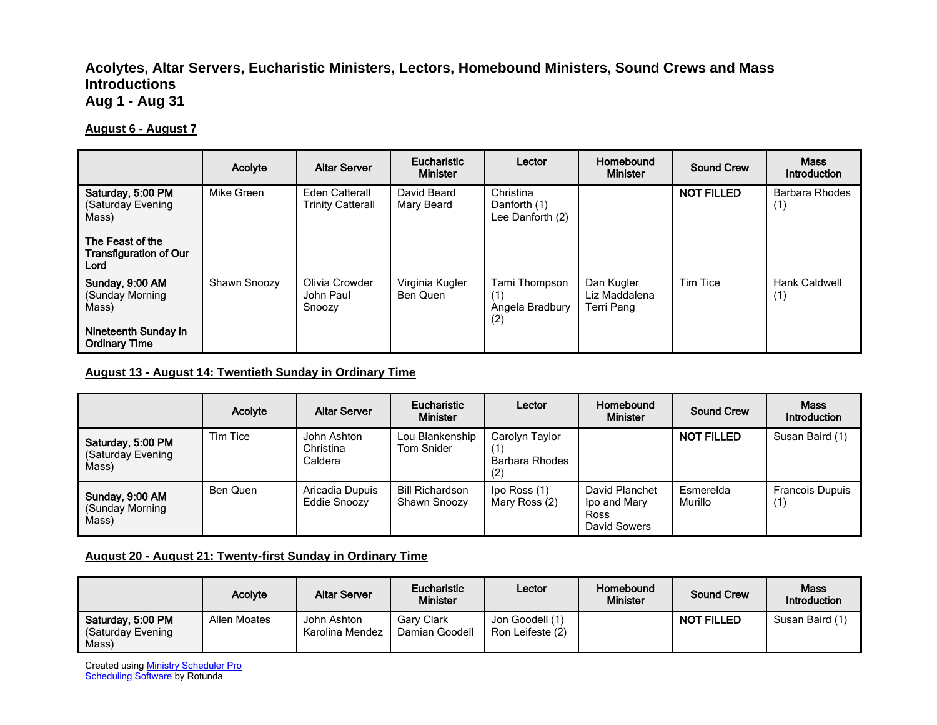## **Acolytes, Altar Servers, Eucharistic Ministers, Lectors, Homebound Ministers, Sound Crews and Mass Introductions Aug 1 - Aug 31**

#### **August 6 - August 7**

|                                                           | Acolyte      | <b>Altar Server</b>                               | <b>Eucharistic</b><br><b>Minister</b> | Lector                                         | Homebound<br><b>Minister</b>              | <b>Sound Crew</b> | <b>Mass</b><br>Introduction  |
|-----------------------------------------------------------|--------------|---------------------------------------------------|---------------------------------------|------------------------------------------------|-------------------------------------------|-------------------|------------------------------|
| Saturday, 5:00 PM<br>(Saturday Evening<br>Mass)           | Mike Green   | <b>Eden Catterall</b><br><b>Trinity Catterall</b> | David Beard<br>Mary Beard             | Christina<br>Danforth (1)<br>Lee Danforth (2)  |                                           | <b>NOT FILLED</b> | <b>Barbara Rhodes</b><br>(1) |
| The Feast of the<br><b>Transfiguration of Our</b><br>Lord |              |                                                   |                                       |                                                |                                           |                   |                              |
| Sunday, 9:00 AM<br>(Sunday Morning)<br>Mass)              | Shawn Snoozy | Olivia Crowder<br>John Paul<br>Snoozy             | Virginia Kugler<br>Ben Quen           | Tami Thompson<br>(1)<br>Angela Bradbury<br>(2) | Dan Kugler<br>Liz Maddalena<br>Terri Pang | Tim Tice          | Hank Caldwell<br>(1)         |
| Nineteenth Sunday in<br><b>Ordinary Time</b>              |              |                                                   |                                       |                                                |                                           |                   |                              |

### **August 13 - August 14: Twentieth Sunday in Ordinary Time**

|                                                 | Acolyte  | <b>Altar Server</b>                 | Eucharistic<br><b>Minister</b>         | Lector                                         | Homebound<br><b>Minister</b>                                  | Sound Crew           | <b>Mass</b><br>Introduction   |
|-------------------------------------------------|----------|-------------------------------------|----------------------------------------|------------------------------------------------|---------------------------------------------------------------|----------------------|-------------------------------|
| Saturday, 5:00 PM<br>(Saturday Evening<br>Mass) | Tim Tice | John Ashton<br>Christina<br>Caldera | Lou Blankenship<br>Tom Snider          | Carolyn Taylor<br>(1)<br>Barbara Rhodes<br>(2) |                                                               | <b>NOT FILLED</b>    | Susan Baird (1)               |
| Sunday, 9:00 AM<br>(Sunday Morning<br>Mass)     | Ben Quen | Aricadia Dupuis<br>Eddie Snoozy     | <b>Bill Richardson</b><br>Shawn Snoozy | lpo Ross (1)<br>Mary Ross (2)                  | David Planchet<br>Ipo and Mary<br><b>Ross</b><br>David Sowers | Esmerelda<br>Murillo | <b>Francois Dupuis</b><br>(1) |

#### **August 20 - August 21: Twenty-first Sunday in Ordinary Time**

|                                                 | Acolyte      | <b>Altar Server</b>            | <b>Eucharistic</b><br>Minister      | Lector                              | Homebound<br><b>Minister</b> | <b>Sound Crew</b> | <b>Mass</b><br>Introduction |
|-------------------------------------------------|--------------|--------------------------------|-------------------------------------|-------------------------------------|------------------------------|-------------------|-----------------------------|
| Saturday, 5:00 PM<br>(Saturday Evening<br>Mass) | Allen Moates | John Ashton<br>Karolina Mendez | <b>Gary Clark</b><br>Damian Goodell | Jon Goodell (1)<br>Ron Leifeste (2) |                              | <b>NOT FILLED</b> | Susan Baird (1)             |

Created using **Ministry Scheduler Pro Scheduling Software** by Rotunda